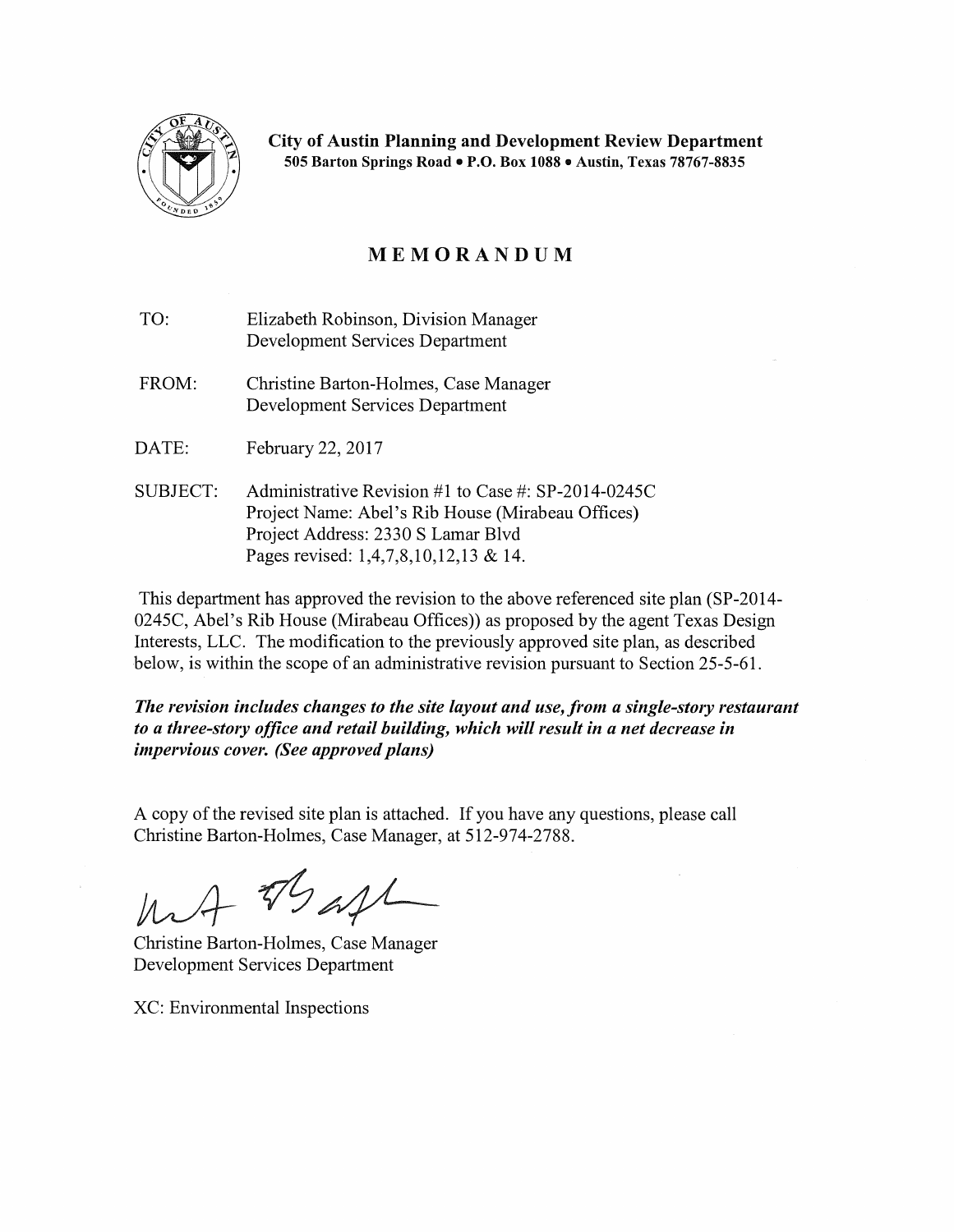

City of Austin Planning and Development Review Department 505 Barton Springs Road • P.O. Box 1088 • Austin, Texas 78767-8835

# MEMORANDUM

- TO: Elizabeth Robinson, Division Manager Development Services Department
- FROM: Christine Barton-Holmes, Case Manager Development Services Department
- DATE: February 22, 2017
- SUBJECT: Administrative Revision #1 to Case #: SP-2014-0245C Project Name: Abel's Rib House (Mirabeau Offices) Project Address: 2330 S Lamar Blvd Pages revised: 1,4,7,8,10,12,13 & 14.

This department has approved the revision to the above referenced site plan (SP-2014- 0245C, Abel's Rib House (Mirabeau Offices)) as proposed by the agent Texas Design Interests, LLC. The modification to the previously approved site plan, as described below, is within the scope of an administrative revision pursuant to Section 25-5-61.

*The revision includes changes to the site layout and use, from a single-story restaurant to a three-story office and retail building, which will result in a net decrease in impervious cover. (See approved plans)* 

A copy of the revised site plan is attached. If you have any questions, please call Christine Barton-Holmes, Case Manager, at 512-974-2788.

- TSast

Christine Barton-Holmes, Case Manager Development Services Department

XC: Environmental Inspections